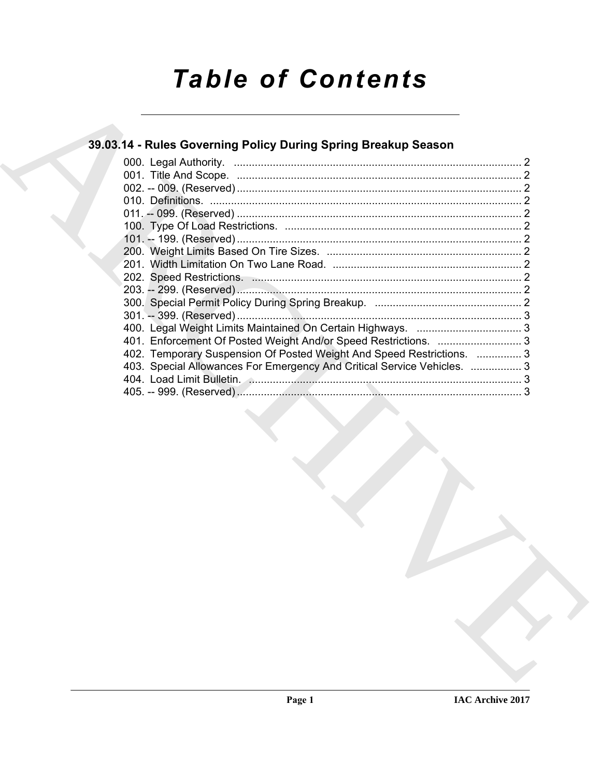# **Table of Contents**

### 39.03.14 - Rules Governing Policy During Spring Breakup Season

| 402. Temporary Suspension Of Posted Weight And Speed Restrictions.  3   |  |
|-------------------------------------------------------------------------|--|
| 403. Special Allowances For Emergency And Critical Service Vehicles.  3 |  |
|                                                                         |  |
|                                                                         |  |
|                                                                         |  |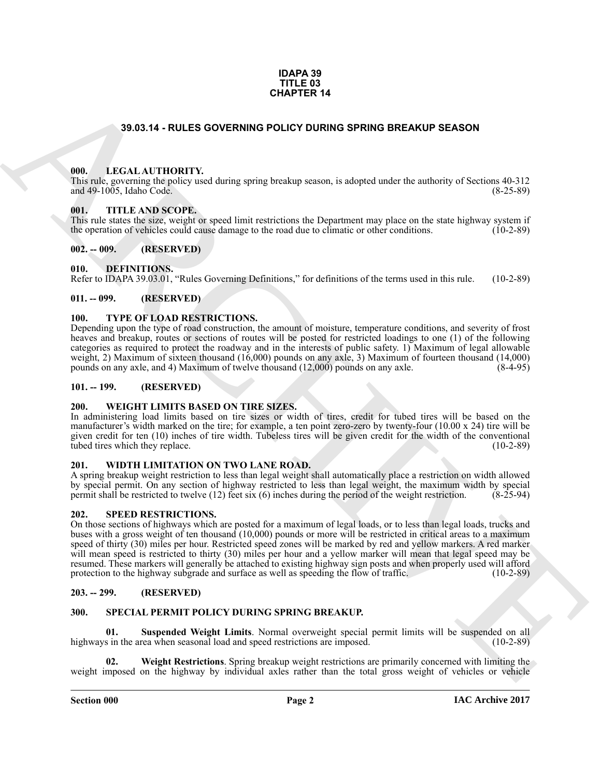#### **IDAPA 39 TITLE 03 CHAPTER 14**

#### **39.03.14 - RULES GOVERNING POLICY DURING SPRING BREAKUP SEASON**

#### <span id="page-1-1"></span><span id="page-1-0"></span>**000. LEGAL AUTHORITY.**

This rule, governing the policy used during spring breakup season, is adopted under the authority of Sections 40-312 and 49-1005, Idaho Code. (8-25-89)

#### <span id="page-1-2"></span>**001. TITLE AND SCOPE.**

This rule states the size, weight or speed limit restrictions the Department may place on the state highway system if the operation of vehicles could cause damage to the road due to climatic or other conditions. (10-2-89)

#### <span id="page-1-3"></span>**002. -- 009. (RESERVED)**

#### <span id="page-1-13"></span><span id="page-1-4"></span>**010. DEFINITIONS.**

Refer to IDAPA 39.03.01, "Rules Governing Definitions," for definitions of the terms used in this rule. (10-2-89)

#### <span id="page-1-5"></span>**011. -- 099. (RESERVED)**

#### <span id="page-1-18"></span><span id="page-1-6"></span>**100. TYPE OF LOAD RESTRICTIONS.**

Depending upon the type of road construction, the amount of moisture, temperature conditions, and severity of frost heaves and breakup, routes or sections of routes will be posted for restricted loadings to one (1) of the following categories as required to protect the roadway and in the interests of public safety. 1) Maximum of legal allowable weight, 2) Maximum of sixteen thousand (16,000) pounds on any axle, 3) Maximum of fourteen thousand (14,000) pounds on any axle, (8-4-95) pounds on any axle, and 4) Maximum of twelve thousand  $(12,000)$  pounds on any axle.

#### <span id="page-1-7"></span>**101. -- 199. (RESERVED)**

#### <span id="page-1-19"></span><span id="page-1-8"></span>**200. WEIGHT LIMITS BASED ON TIRE SIZES.**

In administering load limits based on tire sizes or width of tires, credit for tubed tires will be based on the manufacturer's width marked on the tire; for example, a ten point zero-zero by twenty-four (10.00 x 24) tire will be given credit for ten (10) inches of tire width. Tubeless tires will be given credit for the width of the conventional tubed tires which they replace. (10-2-89) tubed tires which they replace.

#### <span id="page-1-20"></span><span id="page-1-9"></span>**201. WIDTH LIMITATION ON TWO LANE ROAD.**

A spring breakup weight restriction to less than legal weight shall automatically place a restriction on width allowed by special permit. On any section of highway restricted to less than legal weight, the maximum width by special permit shall be restricted to twelve (12) feet six (6) inches during the period of the weight restriction. (8permit shall be restricted to twelve  $(12)$  feet six  $(6)$  inches during the period of the weight restriction.

#### <span id="page-1-17"></span><span id="page-1-10"></span>**202. SPEED RESTRICTIONS.**

**CHAPTER 14**<br> **CHAPTER 14**<br> **CHARCHIVE CONTROVIST CONTROVIS OF CONTROVIST SEPARTED BEFACTURE SERVICE SERVICE SERVICE SERVICE SERVICE SERVICE SERVICE SERVICE SERVICE SERVICE SERVICE SERVICE SERVICE SERVICE SERVICE SERVICE** On those sections of highways which are posted for a maximum of legal loads, or to less than legal loads, trucks and buses with a gross weight of ten thousand (10,000) pounds or more will be restricted in critical areas to a maximum speed of thirty (30) miles per hour. Restricted speed zones will be marked by red and yellow markers. A red marker will mean speed is restricted to thirty (30) miles per hour and a yellow marker will mean that legal speed may be resumed. These markers will generally be attached to existing highway sign posts and when properly used will afford protection to the highway subgrade and surface as well as speeding the flow of traffic. (10-2-89)

#### <span id="page-1-11"></span>**203. -- 299. (RESERVED)**

#### <span id="page-1-14"></span><span id="page-1-12"></span>**300. SPECIAL PERMIT POLICY DURING SPRING BREAKUP.**

<span id="page-1-15"></span>**01.** Suspended Weight Limits. Normal overweight special permit limits will be suspended on all s in the area when seasonal load and speed restrictions are imposed. (10-2-89) highways in the area when seasonal load and speed restrictions are imposed.

<span id="page-1-16"></span>**02. Weight Restrictions**. Spring breakup weight restrictions are primarily concerned with limiting the weight imposed on the highway by individual axles rather than the total gross weight of vehicles or vehicle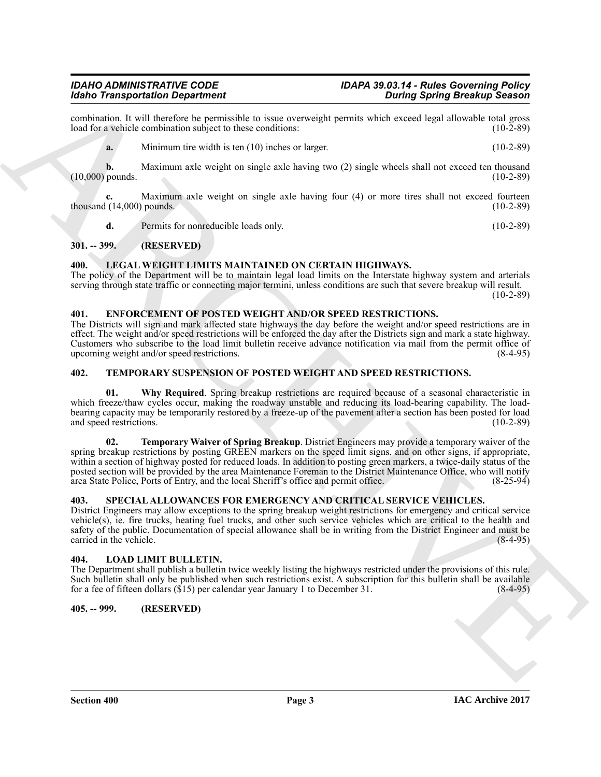## *Idaho Transportation Department During Spring Breakup Season*

combination. It will therefore be permissible to issue overweight permits which exceed legal allowable total gross load for a vehicle combination subject to these conditions: (10-2-89) load for a vehicle combination subject to these conditions:

**a.** Minimum tire width is ten (10) inches or larger. (10-2-89)

**b.** Maximum axle weight on single axle having two (2) single wheels shall not exceed ten thousand pounds. (10-2-89)  $(10,000)$  pounds.

**c.** Maximum axle weight on single axle having four (4) or more tires shall not exceed fourteen thousand  $(14,000)$  pounds. (10-2-89)

<span id="page-2-8"></span>**d.** Permits for nonreducible loads only. (10-2-89)

<span id="page-2-0"></span>**301. -- 399. (RESERVED)**

#### <span id="page-2-1"></span>**400. LEGAL WEIGHT LIMITS MAINTAINED ON CERTAIN HIGHWAYS.**

The policy of the Department will be to maintain legal load limits on the Interstate highway system and arterials serving through state traffic or connecting major termini, unless conditions are such that severe breakup will result.  $(10-2-89)$ 

#### <span id="page-2-7"></span><span id="page-2-2"></span>**401. ENFORCEMENT OF POSTED WEIGHT AND/OR SPEED RESTRICTIONS.**

The Districts will sign and mark affected state highways the day before the weight and/or speed restrictions are in effect. The weight and/or speed restrictions will be enforced the day after the Districts sign and mark a state highway. Customers who subscribe to the load limit bulletin receive advance notification via mail from the permit office of upcoming weight and/or speed restrictions. (8-4-95)

#### <span id="page-2-11"></span><span id="page-2-3"></span>**402. TEMPORARY SUSPENSION OF POSTED WEIGHT AND SPEED RESTRICTIONS.**

<span id="page-2-13"></span><span id="page-2-12"></span>**01.** Why Required. Spring breakup restrictions are required because of a seasonal characteristic in which freeze/thaw cycles occur, making the roadway unstable and reducing its load-bearing capability. The loadbearing capacity may be temporarily restored by a freeze-up of the pavement after a section has been posted for load and speed restrictions. (10-2-89) and speed restrictions.

**Example Detection Departments**<br> **ARCHIVE CONSIDERATION** (**CONSIDERATION**) **CONSIDERATION** (**CONSIDERATION**) **CONSIDERATION** (**CONSIDERATION**) **CONSIDERATION** (**CONSIDERATION**) **CONSIDERATION** (**CONSIDERATION**) **CONSIDER 02. Temporary Waiver of Spring Breakup**. District Engineers may provide a temporary waiver of the spring breakup restrictions by posting GREEN markers on the speed limit signs, and on other signs, if appropriate, within a section of highway posted for reduced loads. In addition to posting green markers, a twice-daily status of the posted section will be provided by the area Maintenance Foreman to the District Maintenance Office, who will notify area State Police, Ports of Entry, and the local Sheriff's office and permit office. (8-25-94) area State Police, Ports of Entry, and the local Sheriff's office and permit office.

#### <span id="page-2-10"></span><span id="page-2-4"></span>**403. SPECIAL ALLOWANCES FOR EMERGENCY AND CRITICAL SERVICE VEHICLES.**

District Engineers may allow exceptions to the spring breakup weight restrictions for emergency and critical service vehicle(s), ie. fire trucks, heating fuel trucks, and other such service vehicles which are critical to the health and safety of the public. Documentation of special allowance shall be in writing from the District Engineer and must be carried in the vehicle. (8-4-95) carried in the vehicle.

#### <span id="page-2-9"></span><span id="page-2-5"></span>**404. LOAD LIMIT BULLETIN.**

The Department shall publish a bulletin twice weekly listing the highways restricted under the provisions of this rule. Such bulletin shall only be published when such restrictions exist. A subscription for this bulletin shall be available for a fee of fifteen dollars (\$15) per calendar year January 1 to December 31. (8-4-95) for a fee of fifteen dollars ( $$15$ ) per calendar year January 1 to December 31.

#### <span id="page-2-6"></span>**405. -- 999. (RESERVED)**